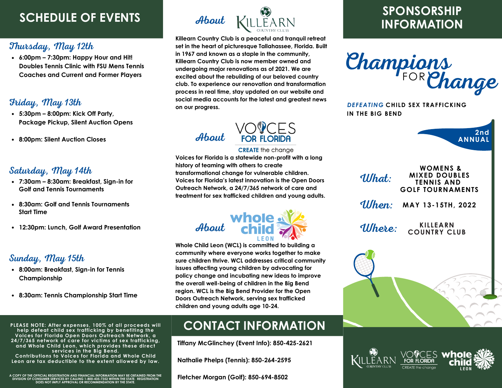## **SCHEDULE OF EVENTS**

### Thursday, May 12th

**6:00pm – 7:30pm: Happy Hour and Hit! Doubles Tennis Clinic with FSU Mens Tennis Coaches and Current and Former Players**

### Friday, May 13th

- **5:30pm – 8:00pm: Kick Off Party, Package Pickup, Silent Auction Opens**
- **8:00pm: Silent Auction Closes**

#### Saturday, May 14th

- **7:30am – 8:30am: Breakfast, Sign-in for Golf and Tennis Tournaments**
- **8:30am: Golf and Tennis Tournaments Start Time**
- **12:30pm: Lunch, Golf Award Presentation**

#### Sunday, May 15th

- **8:00am: Breakfast, Sign-in for Tennis Championship**
- **8:30am: Tennis Championship Start Time**

**PLEASE NOTE: After expenses, 100% of all proceeds will help defeat child sex trafficking by benefiting the Voices for Florida Open Doors Outreach Network, a 24/7/365 network of care for victims of sex trafficking, and Whole Child Leon, which provides these direct services in the Big Bend. Contributions to Voices for Florida and Whole Child Leon are tax deductible to the extent allowed by law.**

A COPY OF THE OFFICIAL REGISTRATION AND FINANCIAL INFORMATION MAY BE OBTAINED FROM THE<br>DIVISION OF CONSUMER SERVICES BY CALLING 1-800-435-7352 WITHIN THE STATE. REGISTRATION<br>DOES NOT IMPLY APPROVAL OR RECOMMENDATION BY THE



**Killearn Country Club is a peaceful and tranquil retreat set in the heart of picturesque Tallahassee, Florida. Built in 1967 and known as a staple in the community, Killearn Country Club is now member owned and undergoing major renovations as of 2021. We are excited about the rebuilding of our beloved country club. To experience our renovation and transformation process in real time, stay updated on our website and social media accounts for the latest and greatest news on our progress.**



#### **CREATE** the change

**Voices for Florida is a statewide non-profit with a long history of teaming with others to create transformational change for vulnerable children. Voices for Florida's latest innovation is the Open Doors Outreach Network, a 24/7/365 network of care and treatment for sex trafficked children and young adults.**



**Whole Child Leon (WCL) is committed to building a community where everyone works together to make sure children thrive. WCL addresses critical community issues affecting young children by advocating for policy change and incubating new ideas to improve the overall well-being of children in the Big Bend region. WCL is the Big Bend Provider for the Open Doors Outreach Network, serving sex trafficked children and young adults age 10-24.**

## **CONTACT INFORMATION**

**Tiffany McGlinchey (Event Info): 850-425-2621**

**Nathalie Phelps (Tennis): 850-264-2595**

**Fletcher Morgan (Golf): 850-694-8502**

### **SPONSORSHIP INFORMATION**



**CHILD SEX TRAFFICKING** *DEFEATING* **IN THE BIG BEND**



| <b>WOMENS &amp;</b><br><b>MIXED DOUBLES</b><br>What:<br><b>TENNIS AND</b><br><b>GOLF TOURNAMENTS</b> |  |
|------------------------------------------------------------------------------------------------------|--|
| When:<br>MAY 13-15TH, 2022                                                                           |  |
| <b>KILLEARN</b><br><i>Uhere:</i><br><b>COUNTRY CLUB</b>                                              |  |
|                                                                                                      |  |
|                                                                                                      |  |